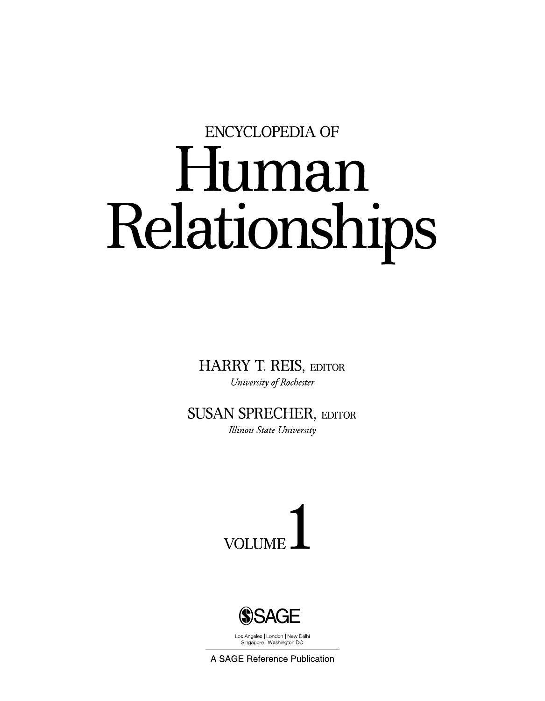## **ENCYCLOPEDIA OF** Human Relationships

**HARRY T. REIS, EDITOR** University of Rochester

**SUSAN SPRECHER, EDITOR** Illinois State University





Los Angeles | London | New Delhi Singapore | Washington DC

A SAGE Reference Publication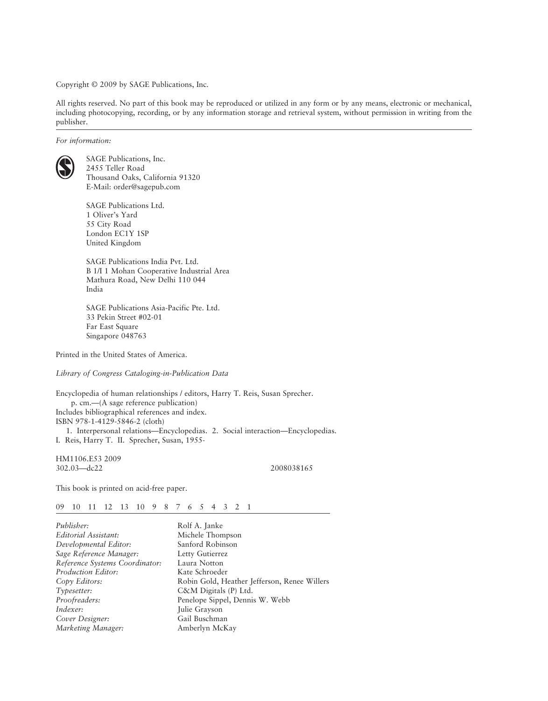Copyright © 2009 by SAGE Publications, Inc.

All rights reserved. No part of this book may be reproduced or utilized in any form or by any means, electronic or mechanical, including photocopying, recording, or by any information storage and retrieval system, without permission in writing from the publisher.

*For information:*



SAGE Publications, Inc. 2455 Teller Road Thousand Oaks, California 91320 E-Mail: order@sagepub.com

SAGE Publications Ltd. 1 Oliver's Yard 55 City Road London EC1Y 1SP United Kingdom

SAGE Publications India Pvt. Ltd. B 1/I 1 Mohan Cooperative Industrial Area Mathura Road, New Delhi 110 044 India

SAGE Publications Asia-Pacific Pte. Ltd. 33 Pekin Street #02-01 Far East Square Singapore 048763

Printed in the United States of America.

*Library of Congress Cataloging-in-Publication Data*

Encyclopedia of human relationships / editors, Harry T. Reis, Susan Sprecher. p. cm.—(A sage reference publication) Includes bibliographical references and index. ISBN 978-1-4129-5846-2 (cloth) 1. Interpersonal relations—Encyclopedias. 2. Social interaction—Encyclopedias. I. Reis, Harry T. II. Sprecher, Susan, 1955-

HM1106.E53 2009 302.03—dc22 2008038165

This book is printed on acid-free paper.

09 10 11 12 13 10 9 8 7 6 5 4 3 2 1

| Rolf A. Janke                                |
|----------------------------------------------|
| Michele Thompson                             |
| Sanford Robinson                             |
| Letty Gutierrez                              |
| Laura Notton                                 |
| Kate Schroeder                               |
| Robin Gold, Heather Jefferson, Renee Willers |
| $C\&M$ Digitals (P) Ltd.                     |
| Penelope Sippel, Dennis W. Webb              |
| Julie Grayson                                |
| Gail Buschman                                |
| Amberlyn McKay                               |
|                                              |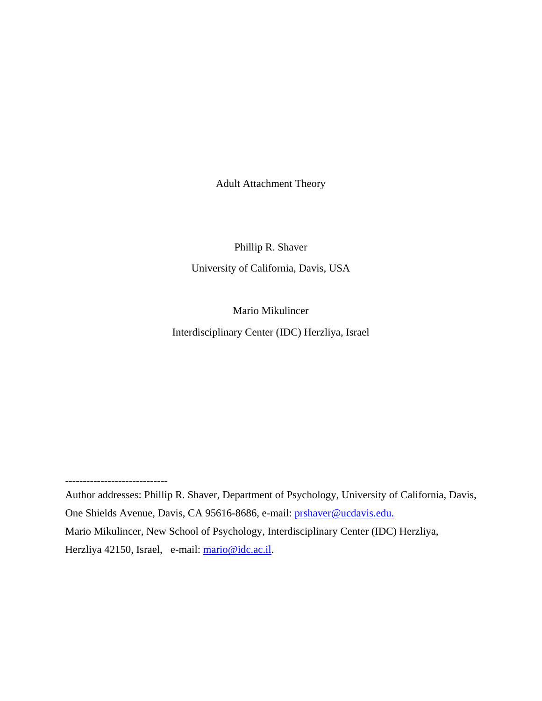Adult Attachment Theory

Phillip R. Shaver University of California, Davis, USA

Mario Mikulincer Interdisciplinary Center (IDC) Herzliya, Israel

*-----------------------------* 

Author addresses: Phillip R. Shaver, Department of Psychology, University of California, Davis, One Shields Avenue, Davis, CA 95616-8686, e-mail: [prshaver@ucdavis.edu](mailto:prshaver@ucdavis.edu). Mario Mikulincer, New School of Psychology, Interdisciplinary Center (IDC) Herzliya, Herzliya 42150, Israel, e-mail: [mario@idc.ac.il.](mailto:mario@idc.ac.il)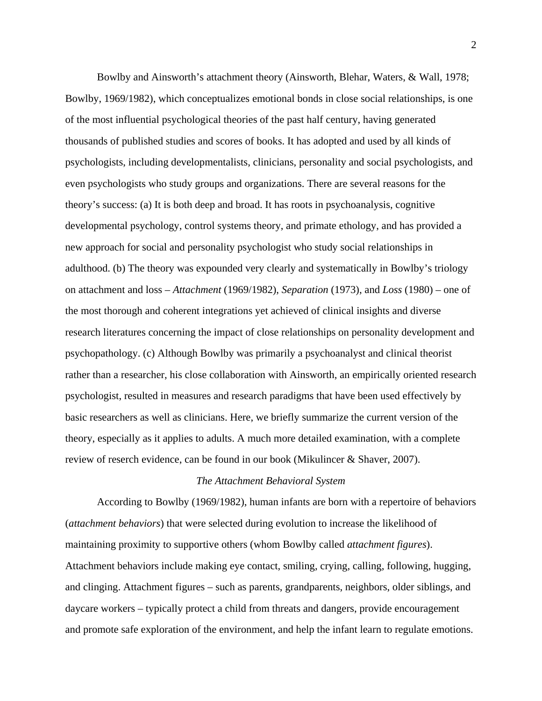Bowlby and Ainsworth's attachment theory (Ainsworth, Blehar, Waters, & Wall, 1978; Bowlby, 1969/1982), which conceptualizes emotional bonds in close social relationships, is one of the most influential psychological theories of the past half century, having generated thousands of published studies and scores of books. It has adopted and used by all kinds of psychologists, including developmentalists, clinicians, personality and social psychologists, and even psychologists who study groups and organizations. There are several reasons for the theory's success: (a) It is both deep and broad. It has roots in psychoanalysis, cognitive developmental psychology, control systems theory, and primate ethology, and has provided a new approach for social and personality psychologist who study social relationships in adulthood. (b) The theory was expounded very clearly and systematically in Bowlby's triology on attachment and loss – *Attachment* (1969/1982), *Separation* (1973), and *Loss* (1980) – one of the most thorough and coherent integrations yet achieved of clinical insights and diverse research literatures concerning the impact of close relationships on personality development and psychopathology. (c) Although Bowlby was primarily a psychoanalyst and clinical theorist rather than a researcher, his close collaboration with Ainsworth, an empirically oriented research psychologist, resulted in measures and research paradigms that have been used effectively by basic researchers as well as clinicians. Here, we briefly summarize the current version of the theory, especially as it applies to adults. A much more detailed examination, with a complete review of reserch evidence, can be found in our book (Mikulincer & Shaver, 2007).

## *The Attachment Behavioral System*

According to Bowlby (1969/1982), human infants are born with a repertoire of behaviors (*attachment behaviors*) that were selected during evolution to increase the likelihood of maintaining proximity to supportive others (whom Bowlby called *attachment figures*). Attachment behaviors include making eye contact, smiling, crying, calling, following, hugging, and clinging. Attachment figures – such as parents, grandparents, neighbors, older siblings, and daycare workers – typically protect a child from threats and dangers, provide encouragement and promote safe exploration of the environment, and help the infant learn to regulate emotions.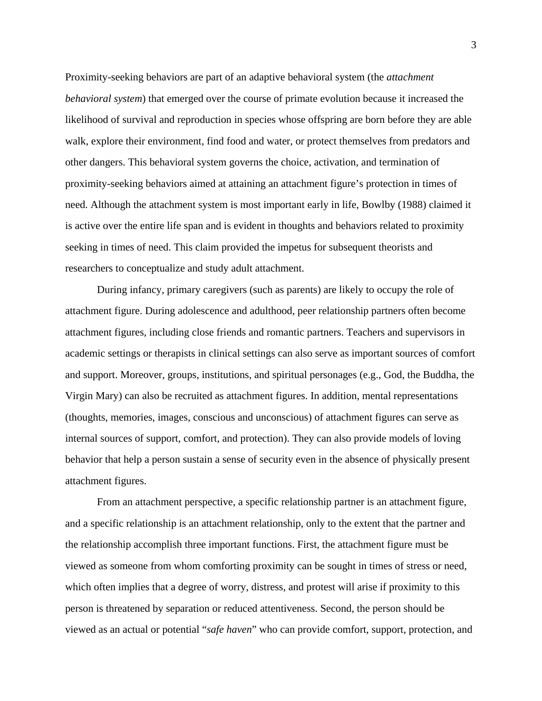Proximity-seeking behaviors are part of an adaptive behavioral system (the *attachment behavioral system*) that emerged over the course of primate evolution because it increased the likelihood of survival and reproduction in species whose offspring are born before they are able walk, explore their environment, find food and water, or protect themselves from predators and other dangers. This behavioral system governs the choice, activation, and termination of proximity-seeking behaviors aimed at attaining an attachment figure's protection in times of need. Although the attachment system is most important early in life, Bowlby (1988) claimed it is active over the entire life span and is evident in thoughts and behaviors related to proximity seeking in times of need. This claim provided the impetus for subsequent theorists and researchers to conceptualize and study adult attachment.

During infancy, primary caregivers (such as parents) are likely to occupy the role of attachment figure. During adolescence and adulthood, peer relationship partners often become attachment figures, including close friends and romantic partners. Teachers and supervisors in academic settings or therapists in clinical settings can also serve as important sources of comfort and support. Moreover, groups, institutions, and spiritual personages (e.g., God, the Buddha, the Virgin Mary) can also be recruited as attachment figures. In addition, mental representations (thoughts, memories, images, conscious and unconscious) of attachment figures can serve as internal sources of support, comfort, and protection). They can also provide models of loving behavior that help a person sustain a sense of security even in the absence of physically present attachment figures.

From an attachment perspective, a specific relationship partner is an attachment figure, and a specific relationship is an attachment relationship, only to the extent that the partner and the relationship accomplish three important functions. First, the attachment figure must be viewed as someone from whom comforting proximity can be sought in times of stress or need, which often implies that a degree of worry, distress, and protest will arise if proximity to this person is threatened by separation or reduced attentiveness. Second, the person should be viewed as an actual or potential "*safe haven*" who can provide comfort, support, protection, and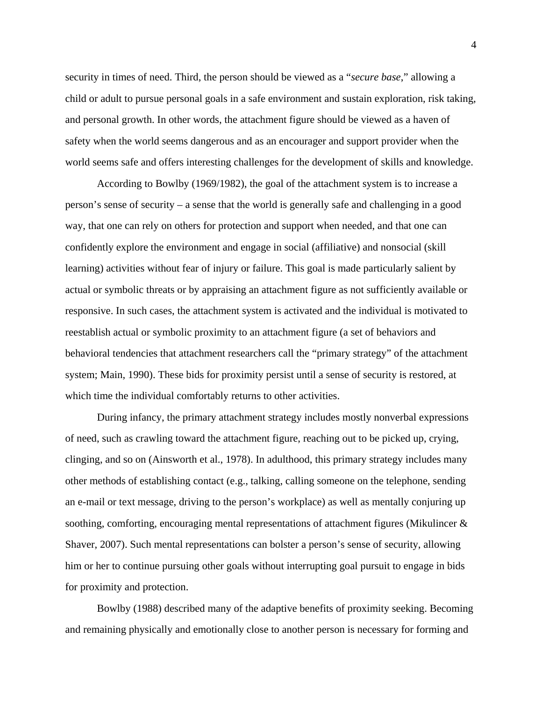security in times of need. Third, the person should be viewed as a "*secure base*," allowing a child or adult to pursue personal goals in a safe environment and sustain exploration, risk taking, and personal growth. In other words, the attachment figure should be viewed as a haven of safety when the world seems dangerous and as an encourager and support provider when the world seems safe and offers interesting challenges for the development of skills and knowledge.

According to Bowlby (1969/1982), the goal of the attachment system is to increase a person's sense of security – a sense that the world is generally safe and challenging in a good way, that one can rely on others for protection and support when needed, and that one can confidently explore the environment and engage in social (affiliative) and nonsocial (skill learning) activities without fear of injury or failure. This goal is made particularly salient by actual or symbolic threats or by appraising an attachment figure as not sufficiently available or responsive. In such cases, the attachment system is activated and the individual is motivated to reestablish actual or symbolic proximity to an attachment figure (a set of behaviors and behavioral tendencies that attachment researchers call the "primary strategy" of the attachment system; Main, 1990). These bids for proximity persist until a sense of security is restored, at which time the individual comfortably returns to other activities.

During infancy, the primary attachment strategy includes mostly nonverbal expressions of need, such as crawling toward the attachment figure, reaching out to be picked up, crying, clinging, and so on (Ainsworth et al., 1978). In adulthood, this primary strategy includes many other methods of establishing contact (e.g., talking, calling someone on the telephone, sending an e-mail or text message, driving to the person's workplace) as well as mentally conjuring up soothing, comforting, encouraging mental representations of attachment figures (Mikulincer & Shaver, 2007). Such mental representations can bolster a person's sense of security, allowing him or her to continue pursuing other goals without interrupting goal pursuit to engage in bids for proximity and protection.

Bowlby (1988) described many of the adaptive benefits of proximity seeking. Becoming and remaining physically and emotionally close to another person is necessary for forming and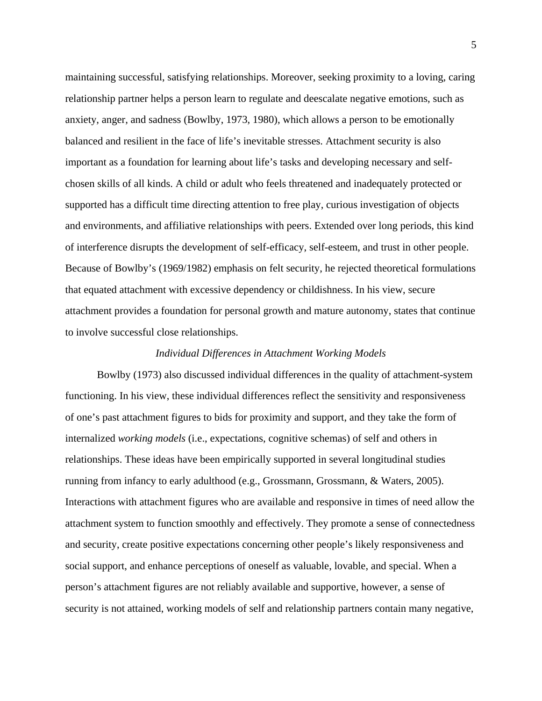maintaining successful, satisfying relationships. Moreover, seeking proximity to a loving, caring relationship partner helps a person learn to regulate and deescalate negative emotions, such as anxiety, anger, and sadness (Bowlby, 1973, 1980), which allows a person to be emotionally balanced and resilient in the face of life's inevitable stresses. Attachment security is also important as a foundation for learning about life's tasks and developing necessary and selfchosen skills of all kinds. A child or adult who feels threatened and inadequately protected or supported has a difficult time directing attention to free play, curious investigation of objects and environments, and affiliative relationships with peers. Extended over long periods, this kind of interference disrupts the development of self-efficacy, self-esteem, and trust in other people. Because of Bowlby's (1969/1982) emphasis on felt security, he rejected theoretical formulations that equated attachment with excessive dependency or childishness. In his view, secure attachment provides a foundation for personal growth and mature autonomy, states that continue to involve successful close relationships.

## *Individual Differences in Attachment Working Models*

Bowlby (1973) also discussed individual differences in the quality of attachment-system functioning. In his view, these individual differences reflect the sensitivity and responsiveness of one's past attachment figures to bids for proximity and support, and they take the form of internalized *working models* (i.e., expectations, cognitive schemas) of self and others in relationships. These ideas have been empirically supported in several longitudinal studies running from infancy to early adulthood (e.g., Grossmann, Grossmann, & Waters, 2005). Interactions with attachment figures who are available and responsive in times of need allow the attachment system to function smoothly and effectively. They promote a sense of connectedness and security, create positive expectations concerning other people's likely responsiveness and social support, and enhance perceptions of oneself as valuable, lovable, and special. When a person's attachment figures are not reliably available and supportive, however, a sense of security is not attained, working models of self and relationship partners contain many negative,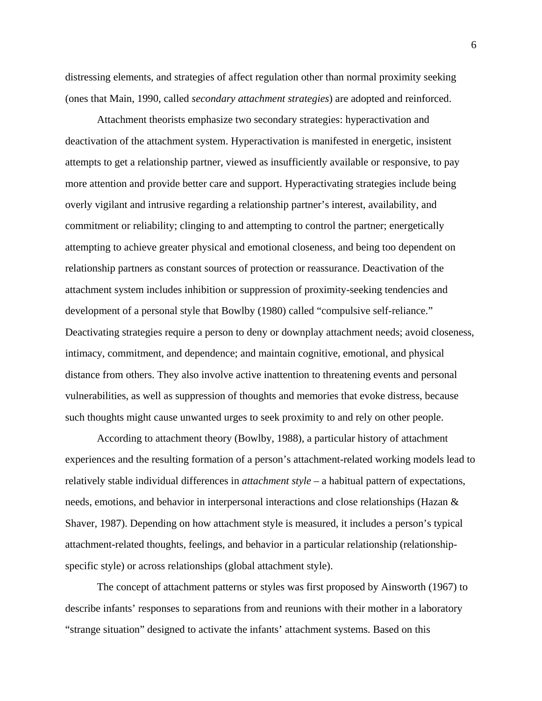distressing elements, and strategies of affect regulation other than normal proximity seeking (ones that Main, 1990, called *secondary attachment strategies*) are adopted and reinforced.

Attachment theorists emphasize two secondary strategies: hyperactivation and deactivation of the attachment system. Hyperactivation is manifested in energetic, insistent attempts to get a relationship partner, viewed as insufficiently available or responsive, to pay more attention and provide better care and support. Hyperactivating strategies include being overly vigilant and intrusive regarding a relationship partner's interest, availability, and commitment or reliability; clinging to and attempting to control the partner; energetically attempting to achieve greater physical and emotional closeness, and being too dependent on relationship partners as constant sources of protection or reassurance. Deactivation of the attachment system includes inhibition or suppression of proximity-seeking tendencies and development of a personal style that Bowlby (1980) called "compulsive self-reliance." Deactivating strategies require a person to deny or downplay attachment needs; avoid closeness, intimacy, commitment, and dependence; and maintain cognitive, emotional, and physical distance from others. They also involve active inattention to threatening events and personal vulnerabilities, as well as suppression of thoughts and memories that evoke distress, because such thoughts might cause unwanted urges to seek proximity to and rely on other people.

According to attachment theory (Bowlby, 1988), a particular history of attachment experiences and the resulting formation of a person's attachment-related working models lead to relatively stable individual differences in *attachment style* – a habitual pattern of expectations, needs, emotions, and behavior in interpersonal interactions and close relationships (Hazan & Shaver, 1987). Depending on how attachment style is measured, it includes a person's typical attachment-related thoughts, feelings, and behavior in a particular relationship (relationshipspecific style) or across relationships (global attachment style).

The concept of attachment patterns or styles was first proposed by Ainsworth (1967) to describe infants' responses to separations from and reunions with their mother in a laboratory "strange situation" designed to activate the infants' attachment systems. Based on this

6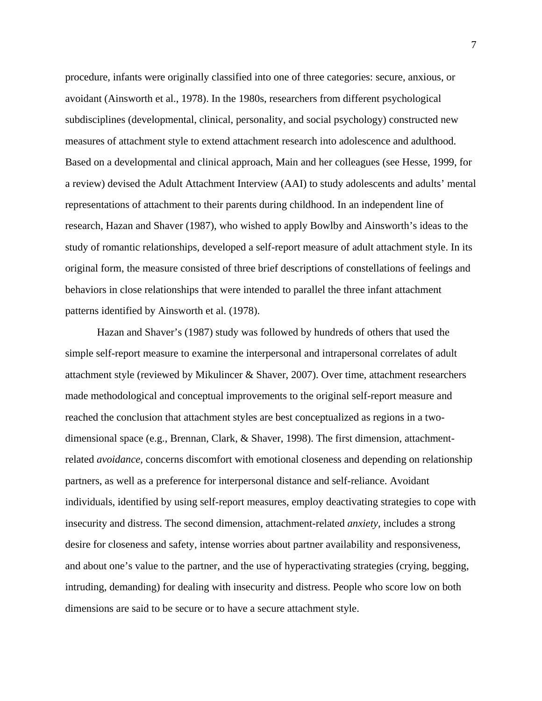procedure, infants were originally classified into one of three categories: secure, anxious, or avoidant (Ainsworth et al., 1978). In the 1980s, researchers from different psychological subdisciplines (developmental, clinical, personality, and social psychology) constructed new measures of attachment style to extend attachment research into adolescence and adulthood. Based on a developmental and clinical approach, Main and her colleagues (see Hesse, 1999, for a review) devised the Adult Attachment Interview (AAI) to study adolescents and adults' mental representations of attachment to their parents during childhood. In an independent line of research, Hazan and Shaver (1987), who wished to apply Bowlby and Ainsworth's ideas to the study of romantic relationships, developed a self-report measure of adult attachment style. In its original form, the measure consisted of three brief descriptions of constellations of feelings and behaviors in close relationships that were intended to parallel the three infant attachment patterns identified by Ainsworth et al. (1978).

Hazan and Shaver's (1987) study was followed by hundreds of others that used the simple self-report measure to examine the interpersonal and intrapersonal correlates of adult attachment style (reviewed by Mikulincer & Shaver, 2007). Over time, attachment researchers made methodological and conceptual improvements to the original self-report measure and reached the conclusion that attachment styles are best conceptualized as regions in a twodimensional space (e.g., Brennan, Clark, & Shaver, 1998). The first dimension, attachmentrelated *avoidance*, concerns discomfort with emotional closeness and depending on relationship partners, as well as a preference for interpersonal distance and self-reliance. Avoidant individuals, identified by using self-report measures, employ deactivating strategies to cope with insecurity and distress. The second dimension, attachment-related *anxiety*, includes a strong desire for closeness and safety, intense worries about partner availability and responsiveness, and about one's value to the partner, and the use of hyperactivating strategies (crying, begging, intruding, demanding) for dealing with insecurity and distress. People who score low on both dimensions are said to be secure or to have a secure attachment style.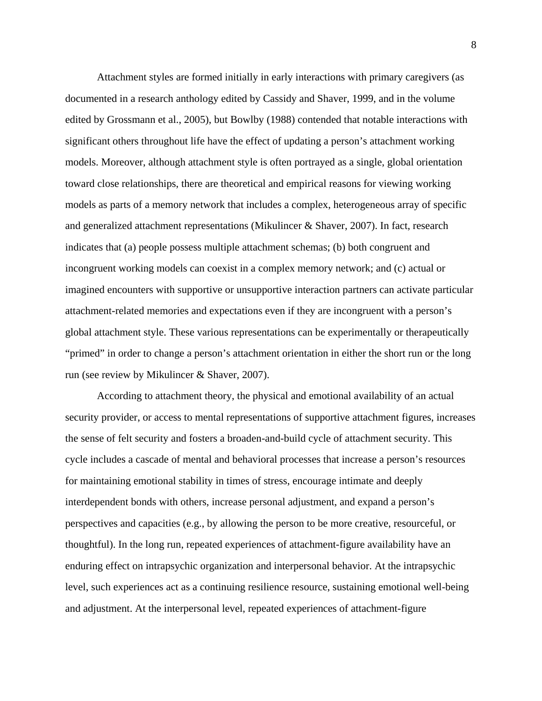Attachment styles are formed initially in early interactions with primary caregivers (as documented in a research anthology edited by Cassidy and Shaver, 1999, and in the volume edited by Grossmann et al., 2005), but Bowlby (1988) contended that notable interactions with significant others throughout life have the effect of updating a person's attachment working models. Moreover, although attachment style is often portrayed as a single, global orientation toward close relationships, there are theoretical and empirical reasons for viewing working models as parts of a memory network that includes a complex, heterogeneous array of specific and generalized attachment representations (Mikulincer & Shaver, 2007). In fact, research indicates that (a) people possess multiple attachment schemas; (b) both congruent and incongruent working models can coexist in a complex memory network; and (c) actual or imagined encounters with supportive or unsupportive interaction partners can activate particular attachment-related memories and expectations even if they are incongruent with a person's global attachment style. These various representations can be experimentally or therapeutically "primed" in order to change a person's attachment orientation in either the short run or the long run (see review by Mikulincer & Shaver, 2007).

According to attachment theory, the physical and emotional availability of an actual security provider, or access to mental representations of supportive attachment figures, increases the sense of felt security and fosters a broaden-and-build cycle of attachment security. This cycle includes a cascade of mental and behavioral processes that increase a person's resources for maintaining emotional stability in times of stress, encourage intimate and deeply interdependent bonds with others, increase personal adjustment, and expand a person's perspectives and capacities (e.g., by allowing the person to be more creative, resourceful, or thoughtful). In the long run, repeated experiences of attachment-figure availability have an enduring effect on intrapsychic organization and interpersonal behavior. At the intrapsychic level, such experiences act as a continuing resilience resource, sustaining emotional well-being and adjustment. At the interpersonal level, repeated experiences of attachment-figure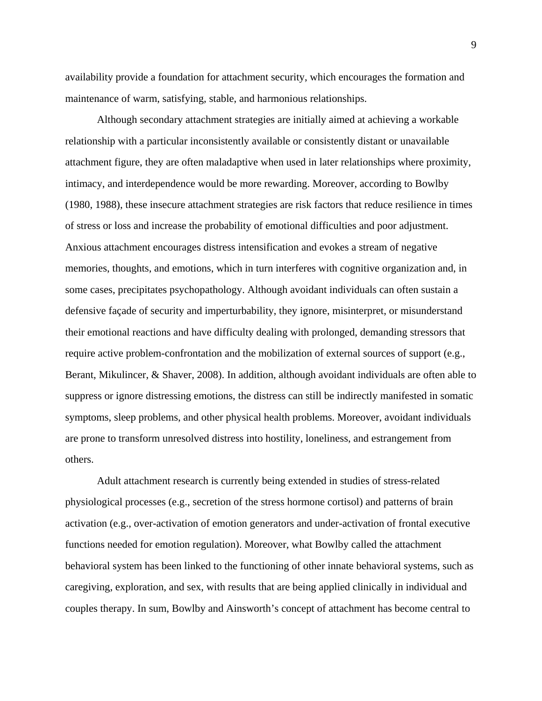availability provide a foundation for attachment security, which encourages the formation and maintenance of warm, satisfying, stable, and harmonious relationships.

Although secondary attachment strategies are initially aimed at achieving a workable relationship with a particular inconsistently available or consistently distant or unavailable attachment figure, they are often maladaptive when used in later relationships where proximity, intimacy, and interdependence would be more rewarding. Moreover, according to Bowlby (1980, 1988), these insecure attachment strategies are risk factors that reduce resilience in times of stress or loss and increase the probability of emotional difficulties and poor adjustment. Anxious attachment encourages distress intensification and evokes a stream of negative memories, thoughts, and emotions, which in turn interferes with cognitive organization and, in some cases, precipitates psychopathology. Although avoidant individuals can often sustain a defensive façade of security and imperturbability, they ignore, misinterpret, or misunderstand their emotional reactions and have difficulty dealing with prolonged, demanding stressors that require active problem-confrontation and the mobilization of external sources of support (e.g., Berant, Mikulincer, & Shaver, 2008). In addition, although avoidant individuals are often able to suppress or ignore distressing emotions, the distress can still be indirectly manifested in somatic symptoms, sleep problems, and other physical health problems. Moreover, avoidant individuals are prone to transform unresolved distress into hostility, loneliness, and estrangement from others.

Adult attachment research is currently being extended in studies of stress-related physiological processes (e.g., secretion of the stress hormone cortisol) and patterns of brain activation (e.g., over-activation of emotion generators and under-activation of frontal executive functions needed for emotion regulation). Moreover, what Bowlby called the attachment behavioral system has been linked to the functioning of other innate behavioral systems, such as caregiving, exploration, and sex, with results that are being applied clinically in individual and couples therapy. In sum, Bowlby and Ainsworth's concept of attachment has become central to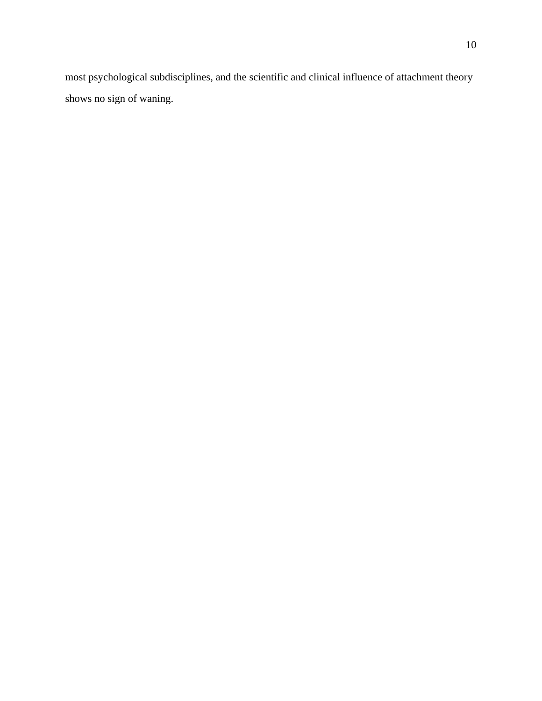most psychological subdisciplines, and the scientific and clinical influence of attachment theory shows no sign of waning.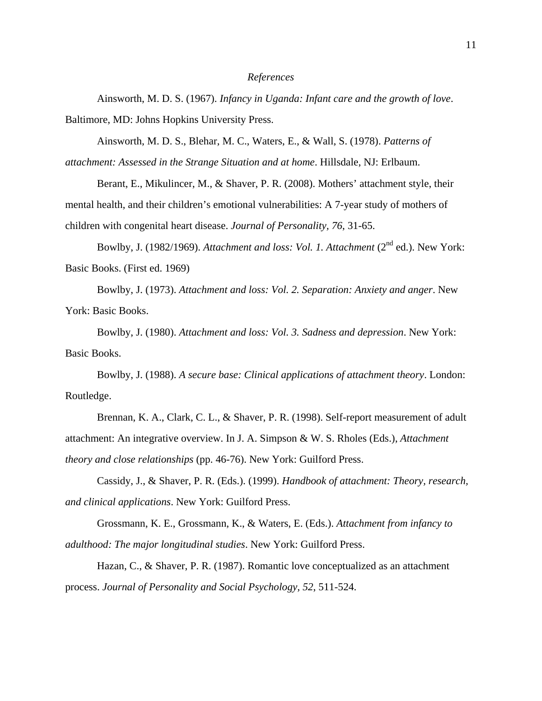## *References*

Ainsworth, M. D. S. (1967). *Infancy in Uganda: Infant care and the growth of love*. Baltimore, MD: Johns Hopkins University Press.

Ainsworth, M. D. S., Blehar, M. C., Waters, E., & Wall, S. (1978). *Patterns of* 

*attachment: Assessed in the Strange Situation and at home*. Hillsdale, NJ: Erlbaum.

Berant, E., Mikulincer, M., & Shaver, P. R. (2008). Mothers' attachment style, their mental health, and their children's emotional vulnerabilities: A 7-year study of mothers of children with congenital heart disease. *Journal of Personality, 76*, 31-65.

Bowlby, J. (1982/1969). *Attachment and loss: Vol. 1. Attachment* (2<sup>nd</sup> ed.). New York: Basic Books. (First ed. 1969)

Bowlby, J. (1973). *Attachment and loss: Vol. 2. Separation: Anxiety and anger*. New York: Basic Books.

Bowlby, J. (1980). *Attachment and loss: Vol. 3. Sadness and depression*. New York: Basic Books.

Bowlby, J. (1988). *A secure base: Clinical applications of attachment theory*. London: Routledge.

Brennan, K. A., Clark, C. L., & Shaver, P. R. (1998). Self-report measurement of adult attachment: An integrative overview. In J. A. Simpson & W. S. Rholes (Eds.), *Attachment theory and close relationships* (pp. 46-76). New York: Guilford Press.

Cassidy, J., & Shaver, P. R. (Eds.). (1999). *Handbook of attachment: Theory, research, and clinical applications*. New York: Guilford Press.

Grossmann, K. E., Grossmann, K., & Waters, E. (Eds.). *Attachment from infancy to adulthood: The major longitudinal studies*. New York: Guilford Press.

Hazan, C., & Shaver, P. R. (1987). Romantic love conceptualized as an attachment process. *Journal of Personality and Social Psychology, 52*, 511-524.